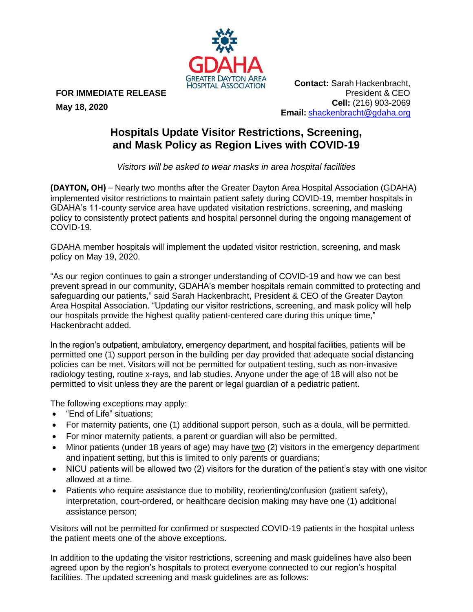

**FOR IMMEDIATE RELEASE** 

**May 18, 2020**

**Contact:** Sarah Hackenbracht, President & CEO **Cell:** (216) 903-2069 **Email:** [shackenbracht@gdaha.org](mailto:shackenbracht@gdaha.org)

## **Hospitals Update Visitor Restrictions, Screening, and Mask Policy as Region Lives with COVID-19**

*Visitors will be asked to wear masks in area hospital facilities*

**(DAYTON, OH)** – Nearly two months after the Greater Dayton Area Hospital Association (GDAHA) implemented visitor restrictions to maintain patient safety during COVID-19, member hospitals in GDAHA's 11-county service area have updated visitation restrictions, screening, and masking policy to consistently protect patients and hospital personnel during the ongoing management of COVID-19.

GDAHA member hospitals will implement the updated visitor restriction, screening, and mask policy on May 19, 2020.

"As our region continues to gain a stronger understanding of COVID-19 and how we can best prevent spread in our community, GDAHA's member hospitals remain committed to protecting and safeguarding our patients," said Sarah Hackenbracht, President & CEO of the Greater Dayton Area Hospital Association. "Updating our visitor restrictions, screening, and mask policy will help our hospitals provide the highest quality patient-centered care during this unique time," Hackenbracht added.

In the region's outpatient, ambulatory, emergency department, and hospital facilities, patients will be permitted one (1) support person in the building per day provided that adequate social distancing policies can be met. Visitors will not be permitted for outpatient testing, such as non-invasive radiology testing, routine x-rays, and lab studies. Anyone under the age of 18 will also not be permitted to visit unless they are the parent or legal guardian of a pediatric patient.

The following exceptions may apply:

- "End of Life" situations;
- For maternity patients, one (1) additional support person, such as a doula, will be permitted.
- For minor maternity patients, a parent or guardian will also be permitted.
- Minor patients (under 18 years of age) may have two (2) visitors in the emergency department and inpatient setting, but this is limited to only parents or guardians;
- NICU patients will be allowed two (2) visitors for the duration of the patient's stay with one visitor allowed at a time.
- Patients who require assistance due to mobility, reorienting/confusion (patient safety), interpretation, court-ordered, or healthcare decision making may have one (1) additional assistance person;

Visitors will not be permitted for confirmed or suspected COVID-19 patients in the hospital unless the patient meets one of the above exceptions.

In addition to the updating the visitor restrictions, screening and mask guidelines have also been agreed upon by the region's hospitals to protect everyone connected to our region's hospital facilities. The updated screening and mask guidelines are as follows: